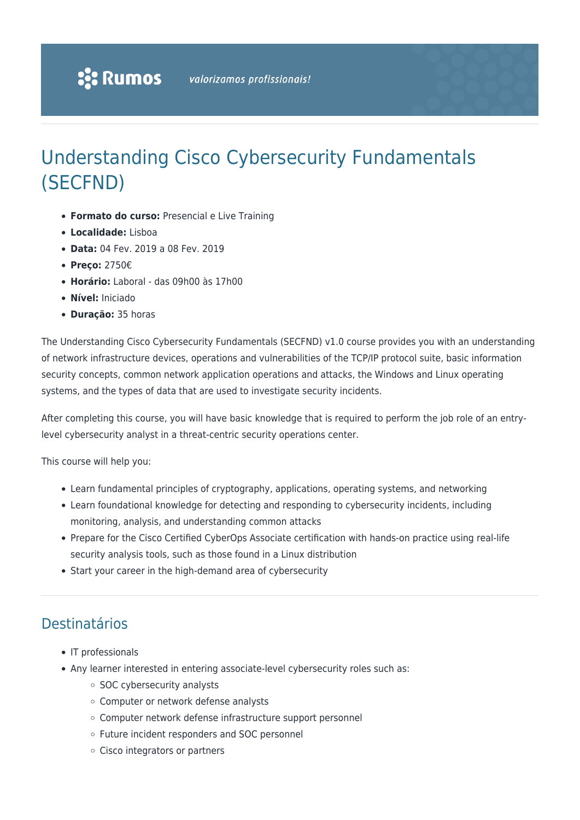# Understanding Cisco Cybersecurity Fundamentals (SECFND)

- **Formato do curso:** Presencial e Live Training
- **Localidade:** Lisboa
- **Data:** 04 Fev. 2019 a 08 Fev. 2019
- **Preço:** 2750€
- **Horário:** Laboral das 09h00 às 17h00
- **Nível:** Iniciado
- **Duração:** 35 horas

The Understanding Cisco Cybersecurity Fundamentals (SECFND) v1.0 course provides you with an understanding of network infrastructure devices, operations and vulnerabilities of the TCP/IP protocol suite, basic information security concepts, common network application operations and attacks, the Windows and Linux operating systems, and the types of data that are used to investigate security incidents.

After completing this course, you will have basic knowledge that is required to perform the job role of an entrylevel cybersecurity analyst in a threat-centric security operations center.

This course will help you:

- Learn fundamental principles of cryptography, applications, operating systems, and networking
- Learn foundational knowledge for detecting and responding to cybersecurity incidents, including monitoring, analysis, and understanding common attacks
- Prepare for the Cisco Certified CyberOps Associate certification with hands-on practice using real-life security analysis tools, such as those found in a Linux distribution
- Start your career in the high-demand area of cybersecurity

## Destinatários

- IT professionals
- Any learner interested in entering associate-level cybersecurity roles such as:
	- SOC cybersecurity analysts
	- Computer or network defense analysts
	- Computer network defense infrastructure support personnel
	- Future incident responders and SOC personnel
	- Cisco integrators or partners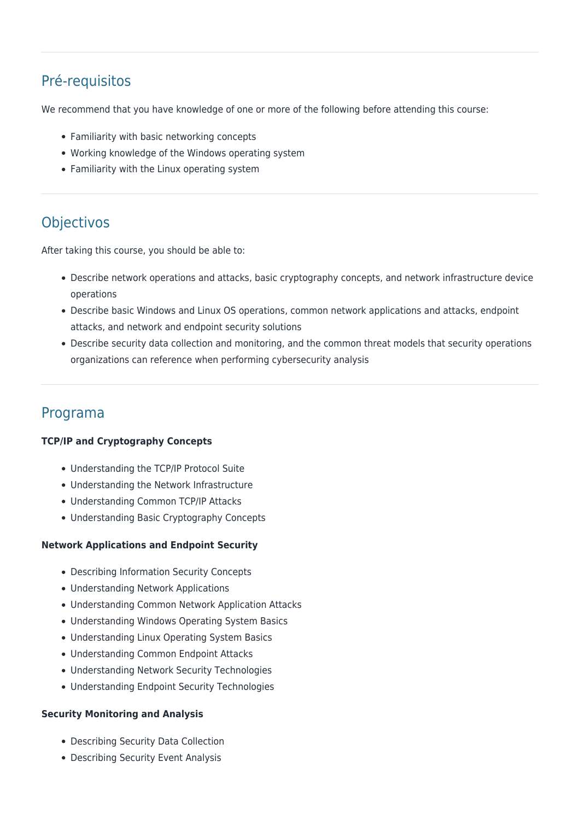# Pré-requisitos

We recommend that you have knowledge of one or more of the following before attending this course:

- Familiarity with basic networking concepts
- Working knowledge of the Windows operating system
- Familiarity with the Linux operating system

# **Objectivos**

After taking this course, you should be able to:

- Describe network operations and attacks, basic cryptography concepts, and network infrastructure device operations
- Describe basic Windows and Linux OS operations, common network applications and attacks, endpoint attacks, and network and endpoint security solutions
- Describe security data collection and monitoring, and the common threat models that security operations organizations can reference when performing cybersecurity analysis

## Programa

## **TCP/IP and Cryptography Concepts**

- Understanding the TCP/IP Protocol Suite
- Understanding the Network Infrastructure
- Understanding Common TCP/IP Attacks
- Understanding Basic Cryptography Concepts

## **Network Applications and Endpoint Security**

- Describing Information Security Concepts
- Understanding Network Applications
- Understanding Common Network Application Attacks
- Understanding Windows Operating System Basics
- Understanding Linux Operating System Basics
- Understanding Common Endpoint Attacks
- Understanding Network Security Technologies
- Understanding Endpoint Security Technologies

## **Security Monitoring and Analysis**

- Describing Security Data Collection
- Describing Security Event Analysis